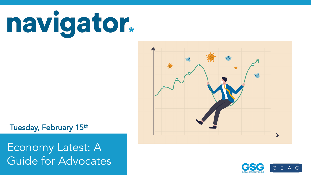



 $\Delta$ ator $\Lambda$ dyceate Latest wave conducted February 3-February 7, 2022. For more info, visit navigatorresearch.org Economy Latest: A Guide for Advocates



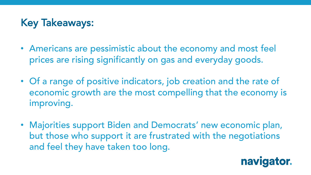## Key Takeaways:

- Americans are pessimistic about the economy and most feel prices are rising significantly on gas and everyday goods.
- Of a range of positive indicators, job creation and the rate of economic growth are the most compelling that the economy is improving.
- Majorities support Biden and Democrats' new economic plan, but those who support it are frustrated with the negotiations and feel they have taken too long.

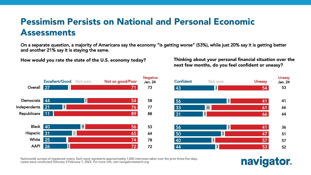#### Pessimism Persists on National and Personal Economic Assessments

On a separate question, a majority of Americans say the economy "is getting worse" (53%), while just 20% say it is getting better and another 21% say it is staying the same.

How would you rate the state of the U.S. economy today?

Thinking about your personal financial situation over the next few months, do you feel confident or uneasy?



Nationwide surveys of registered voters; Each wave represents approximately 1,000 interviews taken over the prior three-five days. Latest wave conducted February 3-February 7, 2022. For more info, visit navigatorresearch.org

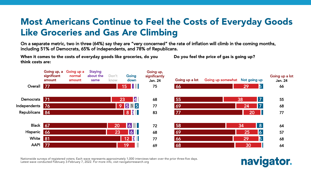#### Most Americans Continue to Feel the Costs of Everyday Goods Like Groceries and Gas Are Climbing

On a separate metric, two in three (64%) say they are "very concerned" the rate of inflation will climb in the coming months, including 51% of Democrats, 65% of independents, and 78% of Republicans.

When it comes to the costs of everyday goods like groceries, do you think costs are:

Do you feel the price of gas is going up?



Nationwide surveys of registered voters; Each wave represents approximately 1,000 interviews taken over the prior three-five days. Latest wave conducted February 3-February 7, 2022. For more info, visit navigatorresearch.org

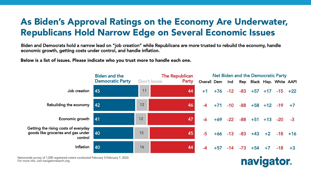## As Biden's Approval Ratings on the Economy Are Underwater, Republicans Hold Narrow Edge on Several Economic Issues

Biden and Democrats hold a narrow lead on "job creation" while Republicans are more trusted to rebuild the economy, handle economic growth, getting costs under control, and handle inflation.

Below is a list of issues. Please indicate who you trust more to handle each one.

|                                                                                       | <b>Biden and the</b>    |    | <b>The Republican</b> | Net Biden and the Democratic Party         |            |       |            |                               |       |            |      |  |
|---------------------------------------------------------------------------------------|-------------------------|----|-----------------------|--------------------------------------------|------------|-------|------------|-------------------------------|-------|------------|------|--|
|                                                                                       | <b>Democratic Party</b> |    | Don't know<br>Party   | Overall Dem Ind Rep Black Hisp. White AAPI |            |       |            |                               |       |            |      |  |
| Job creation                                                                          | 45                      | 11 | 44                    | $+1$                                       | +76        | $-12$ | $-83 + 57$ |                               | $+17$ | $-15 + 22$ |      |  |
| Rebuilding the economy                                                                | 42                      | 12 | 46                    | $-4$                                       | $+71$      |       |            | $-10$ $-88$ $+58$ $+12$ $-19$ |       |            | $+7$ |  |
| Economic growth                                                                       | 41                      | 12 | 47                    | $-6$                                       | $+69 -22$  |       |            | $-88$ +51 +13                 |       | $-20$      |      |  |
| Getting the rising costs of everyday<br>goods like groceries and gas under<br>control | l 40                    | 15 | 45                    | $-5$                                       | $+66 - 13$ |       |            | $-83 + 43 + 2$                |       | $-18$ +16  |      |  |
| Inflation                                                                             | 40                      | 16 | 44                    | $-4$                                       | $+57$      |       |            | $-14$ $-73$ $+54$             | $+7$  | $-18$      | $+3$ |  |

Nationwide survey of 1,000 registered voters conducted February 3-February 7, 2022.<br>F For more info, visit navigatorresarch.org.

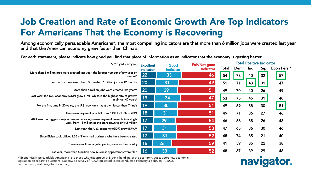## Job Creation and Rate of Economic Growth Are Top Indicators For Americans That the Economy is Recovering

Among economically persuadable Americans\*, the most compelling indicators are that more than 6 million jobs were created last year and that the American economy grew faster than China's.

For each statement, please indicate how good you find that piece of information as an indicator that the economy is getting better.

| */** Split sample                                                                                                                            |                               | Good      | Fair/Not good | Total Positive Indicator |     |     |     |             |  |
|----------------------------------------------------------------------------------------------------------------------------------------------|-------------------------------|-----------|---------------|--------------------------|-----|-----|-----|-------------|--|
|                                                                                                                                              | <b>Excellent</b><br>indicator | indicator | Indicator     | Total                    | Dem | Ind | Rep | Econ Pers.* |  |
| More than 6 million jobs were created last year, the largest number of any year on<br>record*                                                |                               | 33        | 46            | 54                       | 78  | 40  | 32  | 57          |  |
| For the first time ever, the U.S. created 7 million jobs in 12 months                                                                        | 20                            | 31        | 49            | 51                       | 71  | 43  | 31  | 47          |  |
| More than 6 million jobs were created last year**                                                                                            | 20                            | 29        | 51            | 49                       | 70  | 40  | 26  | 49          |  |
| Last year, the U.S. economy (GDP) grew 5.7%, which is the highest rate of growth<br>in almost 40 years*                                      | 19                            | 34        | 47            | 53                       | 75  | 45  | 31  | 48          |  |
| For the first time in 20 years, the U.S. economy has grown faster than China's                                                               | 19                            | 30        | 51            | 49                       | 69  | 38  | 30  | 51          |  |
| The unemployment rate fell from 6.2% to 3.9% in 2021                                                                                         | 18                            | 31        | 51            | 49                       | 71  | 36  | 27  | 46          |  |
| 2021 saw the biggest drop in people receiving unemployment benefits in a single<br>year, from 18 million at the start down to only 2 million | 17                            | 29        | 54            | 46                       | 66  | 38  | 26  | 43          |  |
| Last year, the U.S. economy (GDP) grew 5.7%**                                                                                                | 17                            | 31        | 53            | 47                       | 65  | 36  | 30  | 46          |  |
| Since Biden took office, 1.36 million small business jobs have been created                                                                  | 17                            | 31        | 52            | 48                       | 74  | 35  | 21  | 40          |  |
| There are millions of job openings across the country                                                                                        | 16                            | 26        | 59            | 41                       | 59  | 35  | 22  | 38          |  |
| Last year, more than 5 million new business applications were filed                                                                          | 16                            | 33        | 52            | 48                       | 67  | 39  | 29  | 46          |  |

navigator.

Economically persuadable Americans , are mose who disapprove or biden s nandling or the economy, but support new economic legislation on separate questions. Nationwide survey of 1,000 registered voters conducted February 3-February 7, 2022.<br>F \*"Economically persuadable Americans" are those who disapprove of Biden's handling of the economy, but support new economic For more info, visit navigatorresarch.org.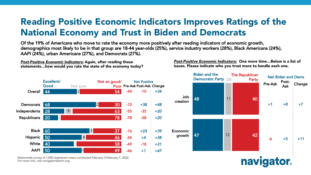## Reading Positive Economic Indicators Improves Ratings of the National Economy and Trust in Biden and Democrats

Of the 19% of Americans who move to rate the economy more positively after reading indicators of economic growth, demographics most likely to be in that group are 18-44 year-olds (25%), service industry workers (28%), Black Americans (24%), AAPI (24%), urban Americans (27%), and Democrats (27%).

*Post-Positive Economic Indicators:* Again, after reading those statements…how would you rate the state of the economy today?

*Post-Positive Economic Indicators:* One more time…Below is a list of issues. Please indicate who you trust more to handle each one.

navigator.



Nationwide survey of 1,000 registered voters conducted February 3-February 7, 2022.<br>F For more info, visit navigatorresarch.org.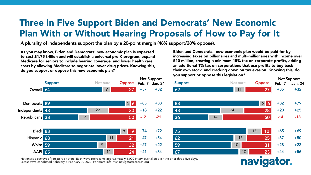#### Three in Five Support Biden and Democrats' New Economic Plan With or Without Hearing Proposals of How to Pay for It

A plurality of independents support the plan by a 20-point margin (48% support/28% oppose).

As you may know, Biden and Democrats' new economic plan is expected to cost \$1.75 trillion and will establish a universal pre-K program, expand Medicare for seniors to include hearing coverage, and lower health care costs by allowing Medicare to negotiate lower drug prices. Knowing this, do you support or oppose this new economic plan?

Biden and Democrats' new economic plan would be paid for by increasing taxes on billionaires and multi-millionaires with income over \$10 million, creating a minimum 15% tax on corporate profits, adding an additional 1% tax on corporations that use profits to buy back their own stock, and cracking down on tax evasion. Knowing this, do you support or oppose this legislation?

naviga



Nationwide surveys of registered voters; Each wave represents approximately 1,000 interviews taken over the prior three-five days. Latest wave conducted February 3-February 7, 2022. For more info, visit navigatorresearch.org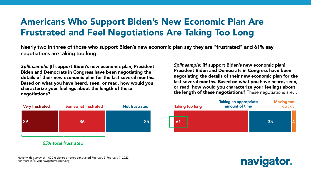#### Americans Who Support Biden's New Economic Plan Are Frustrated and Feel Negotiations Are Taking Too Long

Nearly two in three of those who support Biden's new economic plan say they are "frustrated" and 61% say negotiations are taking too long.

*Split sample:* [If support Biden's new economic plan] President Biden and Democrats in Congress have been negotiating the details of their new economic plan for the last several months. Based on what you have heard, seen, or read, how would you characterize your feelings about the length of these negotiations?



*Split sample:* [If support Biden's new economic plan] President Biden and Democrats in Congress have been negotiating the details of their new economic plan for the last several months. Based on what you have heard, seen, or read, how would you characterize your feelings about the length of these negotiations? These negotiations are…



navigator.

Nationwide survey of 1,000 registered voters conducted February 3-February 7, 2022.<br>F For more info, visit navigatorresarch.org.